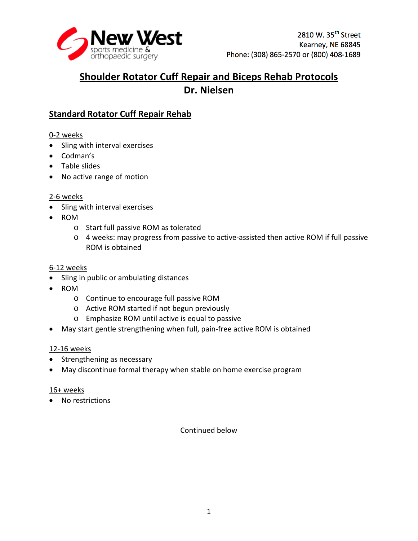

# **Shoulder Rotator Cuff Repair and Biceps Rehab Protocols Dr. Nielsen**

# **Standard Rotator Cuff Repair Rehab**

0-2 weeks

- Sling with interval exercises
- Codman's
- Table slides
- No active range of motion

## 2-6 weeks

- Sling with interval exercises
- ROM
	- o Start full passive ROM as tolerated
	- o 4 weeks: may progress from passive to active-assisted then active ROM if full passive ROM is obtained

## 6-12 weeks

- Sling in public or ambulating distances
- ROM
	- o Continue to encourage full passive ROM
	- o Active ROM started if not begun previously
	- o Emphasize ROM until active is equal to passive
- May start gentle strengthening when full, pain-free active ROM is obtained

## 12-16 weeks

- Strengthening as necessary
- May discontinue formal therapy when stable on home exercise program

## 16+ weeks

• No restrictions

Continued below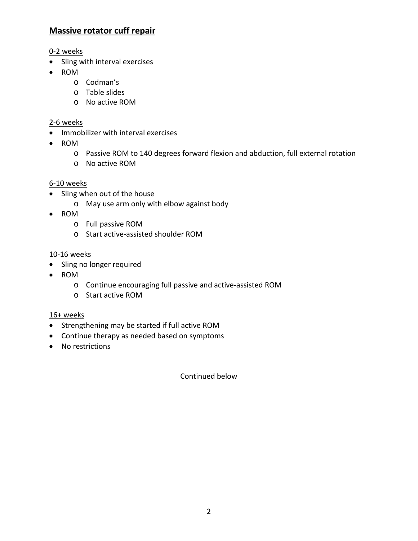## **Massive rotator cuff repair**

## 0-2 weeks

- Sling with interval exercises
- ROM
	- o Codman's
	- o Table slides
	- o No active ROM

#### 2-6 weeks

- Immobilizer with interval exercises
- ROM
	- o Passive ROM to 140 degrees forward flexion and abduction, full external rotation
	- o No active ROM

#### 6-10 weeks

- Sling when out of the house
	- o May use arm only with elbow against body
- ROM
	- o Full passive ROM
	- o Start active-assisted shoulder ROM

#### 10-16 weeks

- Sling no longer required
- ROM
	- o Continue encouraging full passive and active-assisted ROM
	- o Start active ROM

#### 16+ weeks

- Strengthening may be started if full active ROM
- Continue therapy as needed based on symptoms
- No restrictions

Continued below